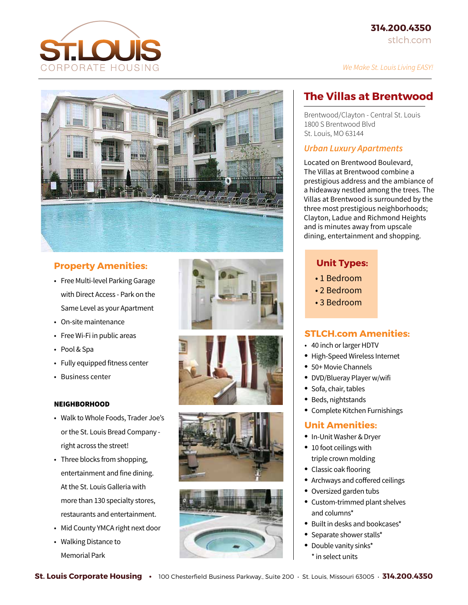



### **Property Amenities:**

- Free Multi-level Parking Garage with Direct Access - Park on the Same Level as your Apartment
- • On-site maintenance
- Free Wi-Fi in public areas
- • Pool & Spa
- Fully equipped fitness center
- • Business center

#### NEIGHBORHOOD

- Walk to Whole Foods, Trader Joe's orthe St. Louis Bread Company right across the street!
- Three blocks from shopping, entertainment and fine dining. Atthe St. Louis Galleria with more than 130 specialty stores, restaurants and entertainment.
- Mid County YMCA right next door
- • Walking Distance to Memorial Park









## **The Villas at Brentwood**

Brentwood/Clayton - Central St. Louis 1800 S Brentwood Blvd St. Louis, MO 63144

#### *Urban Luxury Apartments*

Located on Brentwood Boulevard, The Villas at Brentwood combine a prestigious address and the ambiance of a hideaway nestled among the trees. The Villas at Brentwood is surrounded by the three most prestigious neighborhoods; Clayton, Ladue and Richmond Heights and is minutes away from upscale dining, entertainment and shopping.

#### **Unit Types:**

- 1 Bedroom
- 2 Bedroom
- 3 Bedroom

#### **STLCH.com Amenities:**

- 40 inch or larger HDTV
- High-Speed Wireless Internet
- 50+ Movie Channels
- • DVD/Blueray Player w/wifi
- Sofa, chair, tables
- • Beds, nightstands
- Complete Kitchen Furnishings

#### **Unit Amenities:**

- • In-Unit Washer & Dryer
- 10 foot ceilings with triple crown molding
- Classic oak flooring
- Archways and coffered ceilings
- Oversized garden tubs
- Custom-trimmed plant shelves and columns\*
- Built in desks and bookcases\*
- Separate shower stalls\*
- Double vanity sinks\* \* in select units